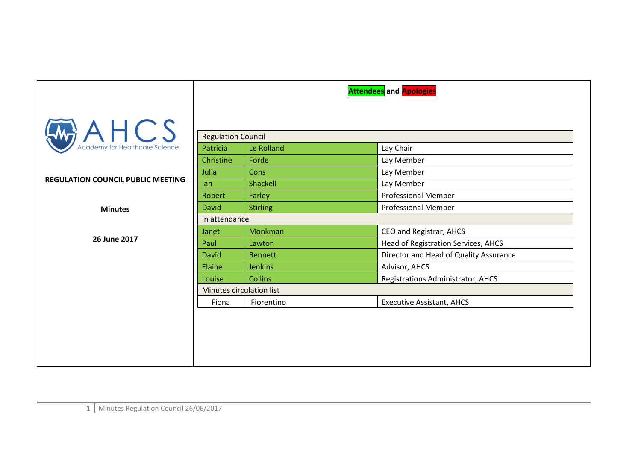|                                                      |                           |                 | <b>Attendees</b> and <b>Apologies</b>  |  |
|------------------------------------------------------|---------------------------|-----------------|----------------------------------------|--|
| $A \nleftarrow$ CS<br>Academy for Healthcare Science |                           |                 |                                        |  |
|                                                      | <b>Regulation Council</b> |                 |                                        |  |
|                                                      | Patricia                  | Le Rolland      | Lay Chair                              |  |
|                                                      | Christine                 | Forde           | Lay Member                             |  |
|                                                      | Julia                     | Cons            | Lay Member                             |  |
| <b>REGULATION COUNCIL PUBLIC MEETING</b>             | lan                       | Shackell        | Lay Member                             |  |
|                                                      | Robert                    | Farley          | <b>Professional Member</b>             |  |
| <b>Minutes</b>                                       | David                     | <b>Stirling</b> | <b>Professional Member</b>             |  |
|                                                      | In attendance             |                 |                                        |  |
|                                                      | Janet                     | Monkman         | CEO and Registrar, AHCS                |  |
| 26 June 2017                                         | Paul                      | Lawton          | Head of Registration Services, AHCS    |  |
|                                                      | David                     | <b>Bennett</b>  | Director and Head of Quality Assurance |  |
|                                                      | Elaine                    | <b>Jenkins</b>  | Advisor, AHCS                          |  |
|                                                      | Louise                    | <b>Collins</b>  | Registrations Administrator, AHCS      |  |
|                                                      | Minutes circulation list  |                 |                                        |  |
|                                                      | Fiona                     | Fiorentino      | <b>Executive Assistant, AHCS</b>       |  |
|                                                      |                           |                 |                                        |  |
|                                                      |                           |                 |                                        |  |
|                                                      |                           |                 |                                        |  |
|                                                      |                           |                 |                                        |  |
|                                                      |                           |                 |                                        |  |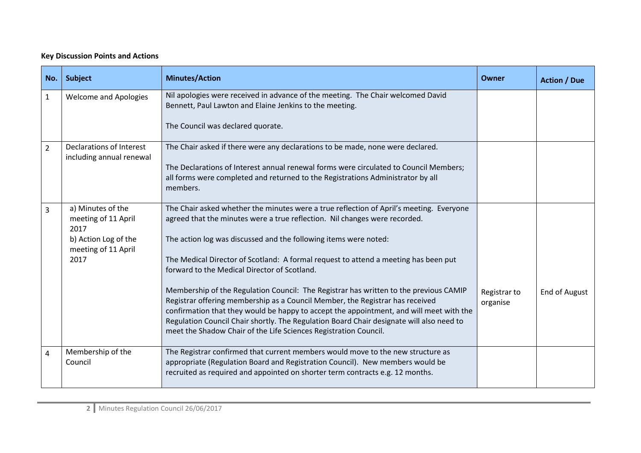## **Key Discussion Points and Actions**

| No.            | <b>Subject</b>                                                                                          | <b>Minutes/Action</b>                                                                                                                                                                                                                                                                                                                                                                                                                                                                                                                                                                                                                                                                                                                                                                                                 | Owner                    | <b>Action / Due</b>  |
|----------------|---------------------------------------------------------------------------------------------------------|-----------------------------------------------------------------------------------------------------------------------------------------------------------------------------------------------------------------------------------------------------------------------------------------------------------------------------------------------------------------------------------------------------------------------------------------------------------------------------------------------------------------------------------------------------------------------------------------------------------------------------------------------------------------------------------------------------------------------------------------------------------------------------------------------------------------------|--------------------------|----------------------|
| $\mathbf{1}$   | <b>Welcome and Apologies</b>                                                                            | Nil apologies were received in advance of the meeting. The Chair welcomed David<br>Bennett, Paul Lawton and Elaine Jenkins to the meeting.<br>The Council was declared quorate.                                                                                                                                                                                                                                                                                                                                                                                                                                                                                                                                                                                                                                       |                          |                      |
| $\overline{2}$ | Declarations of Interest<br>including annual renewal                                                    | The Chair asked if there were any declarations to be made, none were declared.<br>The Declarations of Interest annual renewal forms were circulated to Council Members;<br>all forms were completed and returned to the Registrations Administrator by all<br>members.                                                                                                                                                                                                                                                                                                                                                                                                                                                                                                                                                |                          |                      |
| $\overline{3}$ | a) Minutes of the<br>meeting of 11 April<br>2017<br>b) Action Log of the<br>meeting of 11 April<br>2017 | The Chair asked whether the minutes were a true reflection of April's meeting. Everyone<br>agreed that the minutes were a true reflection. Nil changes were recorded.<br>The action log was discussed and the following items were noted:<br>The Medical Director of Scotland: A formal request to attend a meeting has been put<br>forward to the Medical Director of Scotland.<br>Membership of the Regulation Council: The Registrar has written to the previous CAMIP<br>Registrar offering membership as a Council Member, the Registrar has received<br>confirmation that they would be happy to accept the appointment, and will meet with the<br>Regulation Council Chair shortly. The Regulation Board Chair designate will also need to<br>meet the Shadow Chair of the Life Sciences Registration Council. | Registrar to<br>organise | <b>End of August</b> |
| $\overline{4}$ | Membership of the<br>Council                                                                            | The Registrar confirmed that current members would move to the new structure as<br>appropriate (Regulation Board and Registration Council). New members would be<br>recruited as required and appointed on shorter term contracts e.g. 12 months.                                                                                                                                                                                                                                                                                                                                                                                                                                                                                                                                                                     |                          |                      |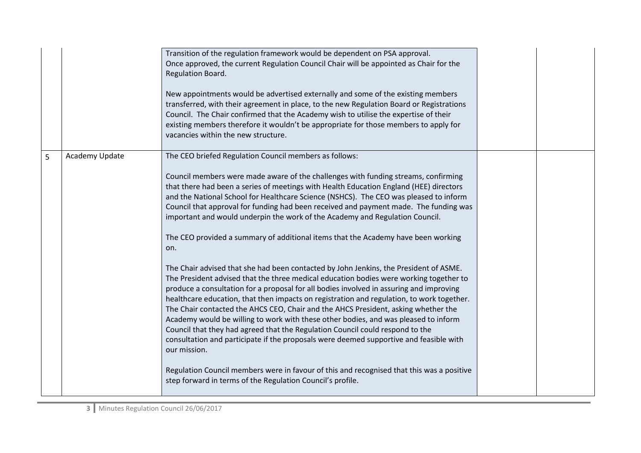|   |                | Transition of the regulation framework would be dependent on PSA approval.<br>Once approved, the current Regulation Council Chair will be appointed as Chair for the<br>Regulation Board.<br>New appointments would be advertised externally and some of the existing members<br>transferred, with their agreement in place, to the new Regulation Board or Registrations<br>Council. The Chair confirmed that the Academy wish to utilise the expertise of their<br>existing members therefore it wouldn't be appropriate for those members to apply for<br>vacancies within the new structure.                                                                                                                                                                                                                                                                                                                                                                                                                                                                                                                                                                                                                                                                                                                                                                                                                                                                                                                   |  |
|---|----------------|--------------------------------------------------------------------------------------------------------------------------------------------------------------------------------------------------------------------------------------------------------------------------------------------------------------------------------------------------------------------------------------------------------------------------------------------------------------------------------------------------------------------------------------------------------------------------------------------------------------------------------------------------------------------------------------------------------------------------------------------------------------------------------------------------------------------------------------------------------------------------------------------------------------------------------------------------------------------------------------------------------------------------------------------------------------------------------------------------------------------------------------------------------------------------------------------------------------------------------------------------------------------------------------------------------------------------------------------------------------------------------------------------------------------------------------------------------------------------------------------------------------------|--|
| 5 | Academy Update | The CEO briefed Regulation Council members as follows:<br>Council members were made aware of the challenges with funding streams, confirming<br>that there had been a series of meetings with Health Education England (HEE) directors<br>and the National School for Healthcare Science (NSHCS). The CEO was pleased to inform<br>Council that approval for funding had been received and payment made. The funding was<br>important and would underpin the work of the Academy and Regulation Council.<br>The CEO provided a summary of additional items that the Academy have been working<br>on.<br>The Chair advised that she had been contacted by John Jenkins, the President of ASME.<br>The President advised that the three medical education bodies were working together to<br>produce a consultation for a proposal for all bodies involved in assuring and improving<br>healthcare education, that then impacts on registration and regulation, to work together.<br>The Chair contacted the AHCS CEO, Chair and the AHCS President, asking whether the<br>Academy would be willing to work with these other bodies, and was pleased to inform<br>Council that they had agreed that the Regulation Council could respond to the<br>consultation and participate if the proposals were deemed supportive and feasible with<br>our mission.<br>Regulation Council members were in favour of this and recognised that this was a positive<br>step forward in terms of the Regulation Council's profile. |  |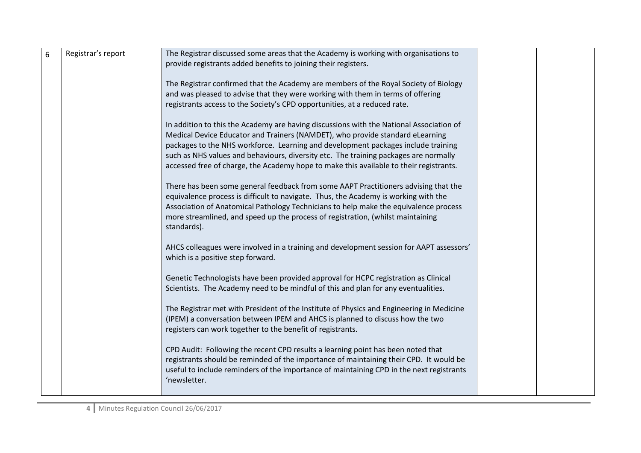| 6 | Registrar's report | The Registrar discussed some areas that the Academy is working with organisations to<br>provide registrants added benefits to joining their registers.<br>The Registrar confirmed that the Academy are members of the Royal Society of Biology<br>and was pleased to advise that they were working with them in terms of offering                          |  |
|---|--------------------|------------------------------------------------------------------------------------------------------------------------------------------------------------------------------------------------------------------------------------------------------------------------------------------------------------------------------------------------------------|--|
|   |                    | registrants access to the Society's CPD opportunities, at a reduced rate.<br>In addition to this the Academy are having discussions with the National Association of<br>Medical Device Educator and Trainers (NAMDET), who provide standard eLearning                                                                                                      |  |
|   |                    | packages to the NHS workforce. Learning and development packages include training<br>such as NHS values and behaviours, diversity etc. The training packages are normally<br>accessed free of charge, the Academy hope to make this available to their registrants.<br>There has been some general feedback from some AAPT Practitioners advising that the |  |
|   |                    | equivalence process is difficult to navigate. Thus, the Academy is working with the<br>Association of Anatomical Pathology Technicians to help make the equivalence process<br>more streamlined, and speed up the process of registration, (whilst maintaining<br>standards).                                                                              |  |
|   |                    | AHCS colleagues were involved in a training and development session for AAPT assessors'<br>which is a positive step forward.                                                                                                                                                                                                                               |  |
|   |                    | Genetic Technologists have been provided approval for HCPC registration as Clinical<br>Scientists. The Academy need to be mindful of this and plan for any eventualities.                                                                                                                                                                                  |  |
|   |                    | The Registrar met with President of the Institute of Physics and Engineering in Medicine<br>(IPEM) a conversation between IPEM and AHCS is planned to discuss how the two<br>registers can work together to the benefit of registrants.                                                                                                                    |  |
|   |                    | CPD Audit: Following the recent CPD results a learning point has been noted that<br>registrants should be reminded of the importance of maintaining their CPD. It would be<br>useful to include reminders of the importance of maintaining CPD in the next registrants<br>'newsletter.                                                                     |  |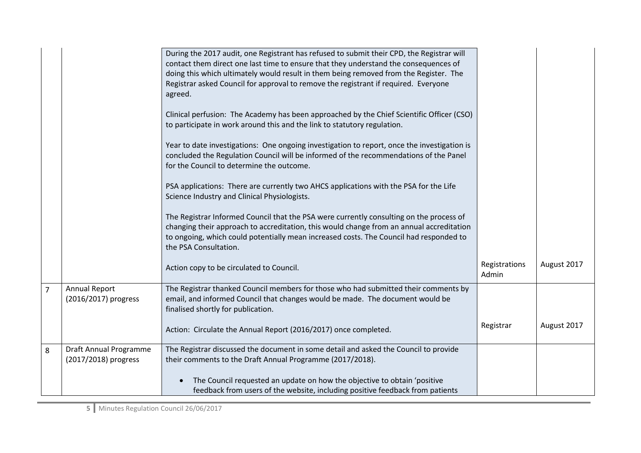|                |                                                | During the 2017 audit, one Registrant has refused to submit their CPD, the Registrar will<br>contact them direct one last time to ensure that they understand the consequences of<br>doing this which ultimately would result in them being removed from the Register. The<br>Registrar asked Council for approval to remove the registrant if required. Everyone<br>agreed. |                        |             |
|----------------|------------------------------------------------|------------------------------------------------------------------------------------------------------------------------------------------------------------------------------------------------------------------------------------------------------------------------------------------------------------------------------------------------------------------------------|------------------------|-------------|
|                |                                                | Clinical perfusion: The Academy has been approached by the Chief Scientific Officer (CSO)<br>to participate in work around this and the link to statutory regulation.                                                                                                                                                                                                        |                        |             |
|                |                                                | Year to date investigations: One ongoing investigation to report, once the investigation is<br>concluded the Regulation Council will be informed of the recommendations of the Panel<br>for the Council to determine the outcome.                                                                                                                                            |                        |             |
|                |                                                | PSA applications: There are currently two AHCS applications with the PSA for the Life<br>Science Industry and Clinical Physiologists.                                                                                                                                                                                                                                        |                        |             |
|                |                                                | The Registrar Informed Council that the PSA were currently consulting on the process of<br>changing their approach to accreditation, this would change from an annual accreditation<br>to ongoing, which could potentially mean increased costs. The Council had responded to<br>the PSA Consultation.                                                                       |                        |             |
|                |                                                | Action copy to be circulated to Council.                                                                                                                                                                                                                                                                                                                                     | Registrations<br>Admin | August 2017 |
| $\overline{7}$ | <b>Annual Report</b><br>(2016/2017) progress   | The Registrar thanked Council members for those who had submitted their comments by<br>email, and informed Council that changes would be made. The document would be<br>finalised shortly for publication.                                                                                                                                                                   |                        |             |
|                |                                                | Action: Circulate the Annual Report (2016/2017) once completed.                                                                                                                                                                                                                                                                                                              | Registrar              | August 2017 |
| 8              | Draft Annual Programme<br>(2017/2018) progress | The Registrar discussed the document in some detail and asked the Council to provide<br>their comments to the Draft Annual Programme (2017/2018).                                                                                                                                                                                                                            |                        |             |
|                |                                                | The Council requested an update on how the objective to obtain 'positive<br>$\bullet$<br>feedback from users of the website, including positive feedback from patients                                                                                                                                                                                                       |                        |             |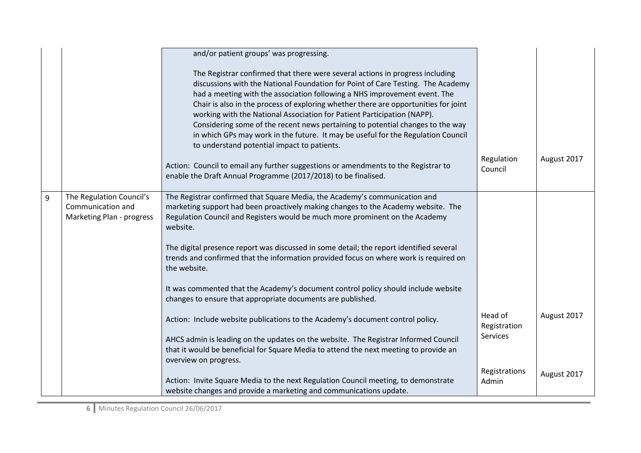|   |                                                                            | and/or patient groups' was progressing.                                                                                                                                                                                                                                                                                                                                                                                                                                                                                                                                                                                                                                                                                                                                                      |                                            |             |
|---|----------------------------------------------------------------------------|----------------------------------------------------------------------------------------------------------------------------------------------------------------------------------------------------------------------------------------------------------------------------------------------------------------------------------------------------------------------------------------------------------------------------------------------------------------------------------------------------------------------------------------------------------------------------------------------------------------------------------------------------------------------------------------------------------------------------------------------------------------------------------------------|--------------------------------------------|-------------|
|   |                                                                            | The Registrar confirmed that there were several actions in progress including<br>discussions with the National Foundation for Point of Care Testing. The Academy<br>had a meeting with the association following a NHS improvement event. The<br>Chair is also in the process of exploring whether there are opportunities for joint<br>working with the National Association for Patient Participation (NAPP).<br>Considering some of the recent news pertaining to potential changes to the way<br>in which GPs may work in the future. It may be useful for the Regulation Council<br>to understand potential impact to patients.<br>Action: Council to email any further suggestions or amendments to the Registrar to<br>enable the Draft Annual Programme (2017/2018) to be finalised. | Regulation<br>Council                      | August 2017 |
| 9 | The Regulation Council's<br>Communication and<br>Marketing Plan - progress | The Registrar confirmed that Square Media, the Academy's communication and<br>marketing support had been proactively making changes to the Academy website. The<br>Regulation Council and Registers would be much more prominent on the Academy<br>website.                                                                                                                                                                                                                                                                                                                                                                                                                                                                                                                                  |                                            |             |
|   |                                                                            | The digital presence report was discussed in some detail; the report identified several<br>trends and confirmed that the information provided focus on where work is required on<br>the website.                                                                                                                                                                                                                                                                                                                                                                                                                                                                                                                                                                                             |                                            |             |
|   |                                                                            | It was commented that the Academy's document control policy should include website<br>changes to ensure that appropriate documents are published.                                                                                                                                                                                                                                                                                                                                                                                                                                                                                                                                                                                                                                            |                                            |             |
|   |                                                                            | Action: Include website publications to the Academy's document control policy.                                                                                                                                                                                                                                                                                                                                                                                                                                                                                                                                                                                                                                                                                                               | Head of<br>Registration<br><b>Services</b> | August 2017 |
|   |                                                                            | AHCS admin is leading on the updates on the website. The Registrar Informed Council<br>that it would be beneficial for Square Media to attend the next meeting to provide an<br>overview on progress.                                                                                                                                                                                                                                                                                                                                                                                                                                                                                                                                                                                        |                                            |             |
|   |                                                                            | Action: Invite Square Media to the next Regulation Council meeting, to demonstrate<br>website changes and provide a marketing and communications update.                                                                                                                                                                                                                                                                                                                                                                                                                                                                                                                                                                                                                                     | Registrations<br>Admin                     | August 2017 |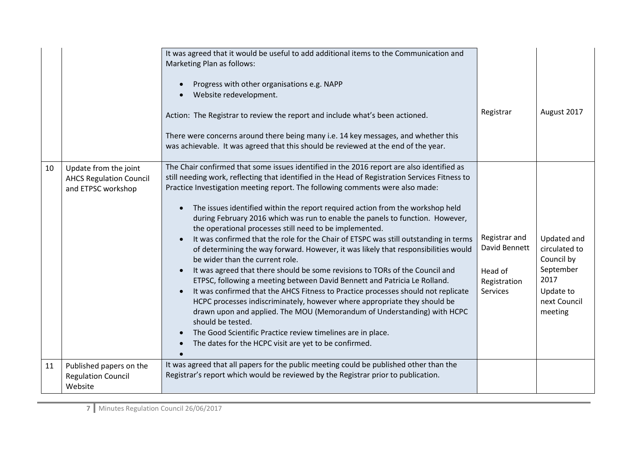|    |                                                                               | It was agreed that it would be useful to add additional items to the Communication and<br>Marketing Plan as follows:<br>Progress with other organisations e.g. NAPP<br>Website redevelopment.<br>Action: The Registrar to review the report and include what's been actioned.<br>There were concerns around there being many i.e. 14 key messages, and whether this<br>was achievable. It was agreed that this should be reviewed at the end of the year.                                                                                                                                                                                                                                                                                                                                                                                                                                                                                                                                                                                                                                                                                                                                                                                                                                       | Registrar                                                             | August 2017                                                                                             |
|----|-------------------------------------------------------------------------------|-------------------------------------------------------------------------------------------------------------------------------------------------------------------------------------------------------------------------------------------------------------------------------------------------------------------------------------------------------------------------------------------------------------------------------------------------------------------------------------------------------------------------------------------------------------------------------------------------------------------------------------------------------------------------------------------------------------------------------------------------------------------------------------------------------------------------------------------------------------------------------------------------------------------------------------------------------------------------------------------------------------------------------------------------------------------------------------------------------------------------------------------------------------------------------------------------------------------------------------------------------------------------------------------------|-----------------------------------------------------------------------|---------------------------------------------------------------------------------------------------------|
| 10 | Update from the joint<br><b>AHCS Regulation Council</b><br>and ETPSC workshop | The Chair confirmed that some issues identified in the 2016 report are also identified as<br>still needing work, reflecting that identified in the Head of Registration Services Fitness to<br>Practice Investigation meeting report. The following comments were also made:<br>The issues identified within the report required action from the workshop held<br>$\bullet$<br>during February 2016 which was run to enable the panels to function. However,<br>the operational processes still need to be implemented.<br>It was confirmed that the role for the Chair of ETSPC was still outstanding in terms<br>of determining the way forward. However, it was likely that responsibilities would<br>be wider than the current role.<br>It was agreed that there should be some revisions to TORs of the Council and<br>ETPSC, following a meeting between David Bennett and Patricia Le Rolland.<br>It was confirmed that the AHCS Fitness to Practice processes should not replicate<br>HCPC processes indiscriminately, however where appropriate they should be<br>drawn upon and applied. The MOU (Memorandum of Understanding) with HCPC<br>should be tested.<br>The Good Scientific Practice review timelines are in place.<br>The dates for the HCPC visit are yet to be confirmed. | Registrar and<br>David Bennett<br>Head of<br>Registration<br>Services | Updated and<br>circulated to<br>Council by<br>September<br>2017<br>Update to<br>next Council<br>meeting |
| 11 | Published papers on the<br><b>Regulation Council</b><br>Website               | It was agreed that all papers for the public meeting could be published other than the<br>Registrar's report which would be reviewed by the Registrar prior to publication.                                                                                                                                                                                                                                                                                                                                                                                                                                                                                                                                                                                                                                                                                                                                                                                                                                                                                                                                                                                                                                                                                                                     |                                                                       |                                                                                                         |